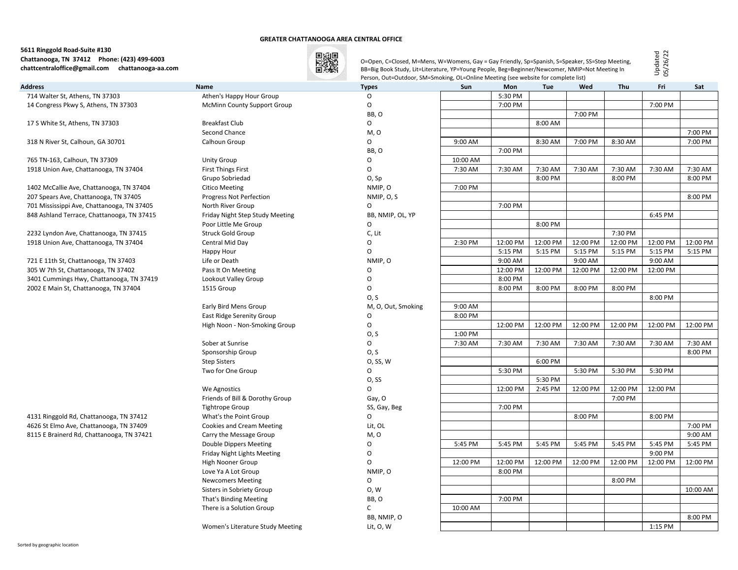#### **GREATER CHATTANOOGA AREA CENTRAL OFFICE**

# **5611 Ringgold Road-Suite #130 Chattanooga, TN 37412 Phone: (423) 499-6003 chattcentraloffice@gmail.com chattanooga-aa.com**



O=Open, C=Closed, M=Mens, W=Womens, Gay = Gay Friendly, Sp=Spanish, S=Speaker, SS=Step Meeting, BB=Big Book Study, Lit=Literature, YP=Young People, Beg=Beginner/Newcomer, NMIP=Not Meeting In Person, Out=Outdoor, SM=Smoking, OL=Online Meeting (see website for complete list)

Updated 05/26/22

| Address                                                                              | Name                             | <b>Types</b>       | <b>Sun</b> | Mon      | <b>Tue</b> | Wed      | <b>Thu</b> | Fri      | Sat      |
|--------------------------------------------------------------------------------------|----------------------------------|--------------------|------------|----------|------------|----------|------------|----------|----------|
| 714 Walter St, Athens, TN 37303                                                      | Athen's Happy Hour Group         | O                  |            | 5:30 PM  |            |          |            |          |          |
| 14 Congress Pkwy S, Athens, TN 37303                                                 | McMinn County Support Group      | $\mathsf O$        |            | 7:00 PM  |            |          |            | 7:00 PM  |          |
|                                                                                      |                                  | BB, O              |            |          |            | 7:00 PM  |            |          |          |
| 17 S White St, Athens, TN 37303                                                      | Breakfast Club                   | 0                  |            |          | 8:00 AM    |          |            |          |          |
|                                                                                      | Second Chance                    | M, O               |            |          |            |          |            |          | 7:00 PM  |
| 318 N River St, Calhoun, GA 30701                                                    | Calhoun Group                    | 0                  | 9:00 AM    |          | 8:30 AM    | 7:00 PM  | 8:30 AM    |          | 7:00 PM  |
|                                                                                      |                                  | BB, O              |            | 7:00 PM  |            |          |            |          |          |
| 765 TN-163, Calhoun, TN 37309                                                        | <b>Unity Group</b>               | $\circ$            | 10:00 AM   |          |            |          |            |          |          |
| 1918 Union Ave, Chattanooga, TN 37404                                                | <b>First Things First</b>        | $\circ$            | 7:30 AM    | 7:30 AM  | 7:30 AM    | 7:30 AM  | 7:30 AM    | 7:30 AM  | 7:30 AM  |
|                                                                                      | Grupo Sobriedad                  | O, Sp              |            |          | 8:00 PM    |          | 8:00 PM    |          | 8:00 PM  |
| 1402 McCallie Ave, Chattanooga, TN 37404                                             | <b>Citico Meeting</b>            | NMIP, O            | 7:00 PM    |          |            |          |            |          |          |
| 207 Spears Ave, Chattanooga, TN 37405                                                | Progress Not Perfection          | NMIP, O, S         |            |          |            |          |            |          | 8:00 PM  |
| 701 Mississippi Ave, Chattanooga, TN 37405                                           | North River Group                | 0                  |            | 7:00 PM  |            |          |            |          |          |
| 848 Ashland Terrace, Chattanooga, TN 37415                                           | Friday Night Step Study Meeting  | BB, NMIP, OL, YP   |            |          |            |          |            | 6:45 PM  |          |
|                                                                                      | Poor Little Me Group             | $\mathsf O$        |            |          | 8:00 PM    |          |            |          |          |
| 2232 Lyndon Ave, Chattanooga, TN 37415                                               | Struck Gold Group                | C, Lit             |            |          |            |          | 7:30 PM    |          |          |
| 1918 Union Ave, Chattanooga, TN 37404                                                | Central Mid Day                  | $\mathsf{O}$       | 2:30 PM    | 12:00 PM | 12:00 PM   | 12:00 PM | 12:00 PM   | 12:00 PM | 12:00 PM |
|                                                                                      | Happy Hour                       | $\mathsf{O}$       |            | 5:15 PM  | 5:15 PM    | 5:15 PM  | 5:15 PM    | 5:15 PM  | 5:15 PM  |
| 721 E 11th St, Chattanooga, TN 37403                                                 | Life or Death                    | NMIP, O            |            | 9:00 AM  |            | 9:00 AM  |            | 9:00 AM  |          |
| 305 W 7th St, Chattanooga, TN 37402                                                  | Pass It On Meeting               | O                  |            | 12:00 PM | 12:00 PM   | 12:00 PM | 12:00 PM   | 12:00 PM |          |
| 3401 Cummings Hwy, Chattanooga, TN 37419                                             | Lookout Valley Group             | $\mathsf O$        |            | 8:00 PM  |            |          |            |          |          |
| 2002 E Main St, Chattanooga, TN 37404                                                | 1515 Group                       | 0                  |            | 8:00 PM  | 8:00 PM    | 8:00 PM  | 8:00 PM    |          |          |
|                                                                                      |                                  | O, S               |            |          |            |          |            | 8:00 PM  |          |
|                                                                                      | Early Bird Mens Group            | M, O, Out, Smoking | 9:00 AM    |          |            |          |            |          |          |
|                                                                                      | East Ridge Serenity Group        | $\mathsf O$        | 8:00 PM    |          |            |          |            |          |          |
|                                                                                      | High Noon - Non-Smoking Group    | $\mathsf O$        |            | 12:00 PM | 12:00 PM   | 12:00 PM | 12:00 PM   | 12:00 PM | 12:00 PM |
|                                                                                      |                                  | 0, S               | 1:00 PM    |          |            |          |            |          |          |
|                                                                                      | Sober at Sunrise                 | $\circ$            | 7:30 AM    | 7:30 AM  | 7:30 AM    | 7:30 AM  | 7:30 AM    | 7:30 AM  | 7:30 AM  |
|                                                                                      | Sponsorship Group                | O, S               |            |          |            |          |            |          | 8:00 PM  |
|                                                                                      | <b>Step Sisters</b>              | 0, SS, W           |            |          | 6:00 PM    |          |            |          |          |
|                                                                                      | Two for One Group                | 0                  |            | 5:30 PM  |            | 5:30 PM  | 5:30 PM    | 5:30 PM  |          |
|                                                                                      |                                  | O, SS              |            |          | 5:30 PM    |          |            |          |          |
|                                                                                      | We Agnostics                     | $\mathsf O$        |            | 12:00 PM | 2:45 PM    | 12:00 PM | 12:00 PM   | 12:00 PM |          |
|                                                                                      | Friends of Bill & Dorothy Group  | Gay, O             |            |          |            |          | 7:00 PM    |          |          |
|                                                                                      | <b>Tightrope Group</b>           | SS, Gay, Beg       |            | 7:00 PM  |            |          |            |          |          |
| 4131 Ringgold Rd, Chattanooga, TN 37412                                              | What's the Point Group           | $\mathsf{O}$       |            |          |            | 8:00 PM  |            | 8:00 PM  |          |
| 4626 St Elmo Ave, Chattanooga, TN 37409<br>8115 E Brainerd Rd, Chattanooga, TN 37421 | <b>Cookies and Cream Meeting</b> | Lit, OL            |            |          |            |          |            |          | 7:00 PM  |
|                                                                                      | Carry the Message Group          | M, O               |            |          |            |          |            |          | 9:00 AM  |
|                                                                                      | Double Dippers Meeting           | 0                  | 5:45 PM    | 5:45 PM  | 5:45 PM    | 5:45 PM  | 5:45 PM    | 5:45 PM  | 5:45 PM  |
|                                                                                      | Friday Night Lights Meeting      | 0                  |            |          |            |          |            | 9:00 PM  |          |
|                                                                                      | High Nooner Group                | 0                  | 12:00 PM   | 12:00 PM | 12:00 PM   | 12:00 PM | 12:00 PM   | 12:00 PM | 12:00 PM |
|                                                                                      | Love Ya A Lot Group              | NMIP, O            |            | 8:00 PM  |            |          |            |          |          |
|                                                                                      | <b>Newcomers Meeting</b>         | $\mathsf O$        |            |          |            |          | 8:00 PM    |          |          |
|                                                                                      | Sisters in Sobriety Group        | 0, W               |            |          |            |          |            |          | 10:00 AM |
|                                                                                      | That's Binding Meeting           | BB, O              |            | 7:00 PM  |            |          |            |          |          |
|                                                                                      | There is a Solution Group        | $\mathsf{C}$       | 10:00 AM   |          |            |          |            |          |          |
|                                                                                      |                                  | BB, NMIP, O        |            |          |            |          |            |          | 8:00 PM  |
|                                                                                      | Women's Literature Study Meeting | Lit, O, W          |            |          |            |          |            | 1:15 PM  |          |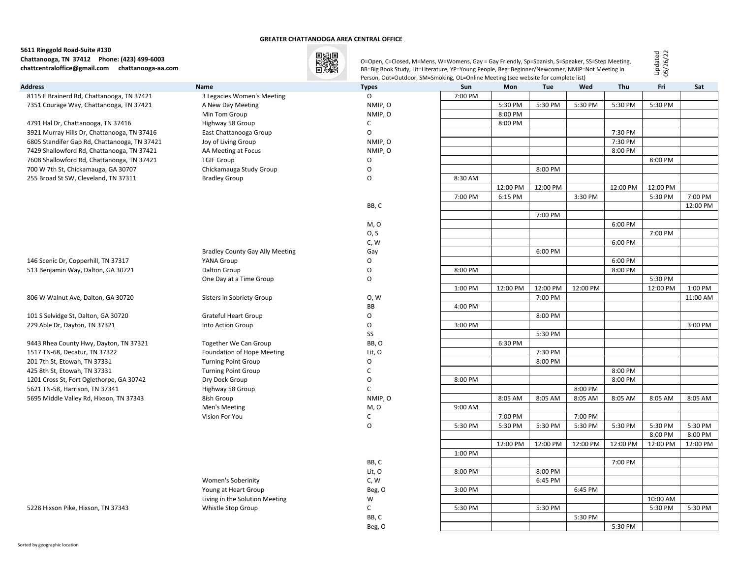#### **GREATER CHATTANOOGA AREA CENTRAL OFFICE**

# **5611 Ringgold Road-Suite #130 Chattanooga, TN 37412 Phone: (423) 499-6003 chattcentraloffice@gmail.com chattanooga-aa.com**



O=Open, C=Closed, M=Mens, W=Womens, Gay = Gay Friendly, Sp=Spanish, S=Speaker, SS=Step Meeting, BB=Big Book Study, Lit=Literature, YP=Young People, Beg=Beginner/Newcomer, NMIP=Not Meeting In Person, Out=Outdoor, SM=Smoking, OL=Online Meeting (see website for complete list)

Updated 05/26/22

| <b>Address</b>                               | <b>Name</b>                            | <b>Types</b> | <b>Sun</b> | Mon      | <b>Tue</b> | Wed      | Thu      | Fri      | Sat      |
|----------------------------------------------|----------------------------------------|--------------|------------|----------|------------|----------|----------|----------|----------|
| 8115 E Brainerd Rd, Chattanooga, TN 37421    | 3 Legacies Women's Meeting             | $\Omega$     | 7:00 PM    |          |            |          |          |          |          |
| 7351 Courage Way, Chattanooga, TN 37421      | A New Day Meeting                      | NMIP, O      |            | 5:30 PM  | 5:30 PM    | 5:30 PM  | 5:30 PM  | 5:30 PM  |          |
|                                              | Min Tom Group                          | NMIP, O      |            | 8:00 PM  |            |          |          |          |          |
| 4791 Hal Dr, Chattanooga, TN 37416           | Highway 58 Group                       | C            |            | 8:00 PM  |            |          |          |          |          |
| 3921 Murray Hills Dr, Chattanooga, TN 37416  | East Chattanooga Group                 | O            |            |          |            |          | 7:30 PM  |          |          |
| 6805 Standifer Gap Rd, Chattanooga, TN 37421 | Joy of Living Group                    | NMIP, O      |            |          |            |          | 7:30 PM  |          |          |
| 7429 Shallowford Rd, Chattanooga, TN 37421   | AA Meeting at Focus                    | NMIP, O      |            |          |            |          | 8:00 PM  |          |          |
| 7608 Shallowford Rd, Chattanooga, TN 37421   | <b>TGIF Group</b>                      | O            |            |          |            |          |          | 8:00 PM  |          |
| 700 W 7th St, Chickamauga, GA 30707          | Chickamauga Study Group                | O            |            |          | 8:00 PM    |          |          |          |          |
| 255 Broad St SW, Cleveland, TN 37311         | <b>Bradley Group</b>                   | O            | 8:30 AM    |          |            |          |          |          |          |
|                                              |                                        |              |            | 12:00 PM | 12:00 PM   |          | 12:00 PM | 12:00 PM |          |
|                                              |                                        |              | 7:00 PM    | 6:15 PM  |            | 3:30 PM  |          | 5:30 PM  | 7:00 PM  |
|                                              |                                        | BB, C        |            |          |            |          |          |          | 12:00 PM |
|                                              |                                        |              |            |          | 7:00 PM    |          |          |          |          |
|                                              |                                        | M, O         |            |          |            |          | 6:00 PM  |          |          |
|                                              |                                        | O, S         |            |          |            |          |          | 7:00 PM  |          |
|                                              |                                        | C, W         |            |          |            |          | 6:00 PM  |          |          |
|                                              | <b>Bradley County Gay Ally Meeting</b> | Gay          |            |          | 6:00 PM    |          |          |          |          |
| 146 Scenic Dr, Copperhill, TN 37317          | YANA Group                             | O            |            |          |            |          | 6:00 PM  |          |          |
| 513 Benjamin Way, Dalton, GA 30721           | Dalton Group                           | O            | 8:00 PM    |          |            |          | 8:00 PM  |          |          |
|                                              | One Day at a Time Group                | O            |            |          |            |          |          | 5:30 PM  |          |
|                                              |                                        |              | 1:00 PM    | 12:00 PM | 12:00 PM   | 12:00 PM |          | 12:00 PM | 1:00 PM  |
| 806 W Walnut Ave, Dalton, GA 30720           | Sisters in Sobriety Group              | 0, W         |            |          | 7:00 PM    |          |          |          | 11:00 AM |
|                                              |                                        | <b>BB</b>    | 4:00 PM    |          |            |          |          |          |          |
| 101 S Selvidge St, Dalton, GA 30720          | <b>Grateful Heart Group</b>            | O            |            |          | 8:00 PM    |          |          |          |          |
| 229 Able Dr, Dayton, TN 37321                | Into Action Group                      | O            | 3:00 PM    |          |            |          |          |          | 3:00 PM  |
|                                              |                                        | SS           |            |          | 5:30 PM    |          |          |          |          |
| 9443 Rhea County Hwy, Dayton, TN 37321       | Together We Can Group                  | BB, O        |            | 6:30 PM  |            |          |          |          |          |
| 1517 TN-68, Decatur, TN 37322                | Foundation of Hope Meeting             | Lit, O       |            |          | 7:30 PM    |          |          |          |          |
| 201 7th St, Etowah, TN 37331                 | <b>Turning Point Group</b>             | O            |            |          | 8:00 PM    |          |          |          |          |
| 425 8th St, Etowah, TN 37331                 | <b>Turning Point Group</b>             | C            |            |          |            |          | 8:00 PM  |          |          |
| 1201 Cross St, Fort Oglethorpe, GA 30742     | Dry Dock Group                         | O            | 8:00 PM    |          |            |          | 8:00 PM  |          |          |
| 5621 TN-58, Harrison, TN 37341               | Highway 58 Group                       | C            |            |          |            | 8:00 PM  |          |          |          |
| 5695 Middle Valley Rd, Hixson, TN 37343      | 8ish Group                             | NMIP, O      |            | 8:05 AM  | 8:05 AM    | 8:05 AM  | 8:05 AM  | 8:05 AM  | 8:05 AM  |
|                                              | Men's Meeting                          | M, O         | 9:00 AM    |          |            |          |          |          |          |
|                                              | Vision For You                         | C            |            | 7:00 PM  |            | 7:00 PM  |          |          |          |
|                                              |                                        | O            | 5:30 PM    | 5:30 PM  | 5:30 PM    | 5:30 PM  | 5:30 PM  | 5:30 PM  | 5:30 PM  |
|                                              |                                        |              |            |          |            |          |          | 8:00 PM  | 8:00 PM  |
|                                              |                                        |              |            | 12:00 PM | 12:00 PM   | 12:00 PM | 12:00 PM | 12:00 PM | 12:00 PM |
|                                              |                                        |              | 1:00 PM    |          |            |          |          |          |          |
|                                              |                                        | BB, C        |            |          |            |          | 7:00 PM  |          |          |
|                                              |                                        | Lit, O       | 8:00 PM    |          | 8:00 PM    |          |          |          |          |
|                                              | <b>Women's Soberinity</b>              | C, W         |            |          | 6:45 PM    |          |          |          |          |
|                                              | Young at Heart Group                   | Beg, O       | 3:00 PM    |          |            | 6:45 PM  |          |          |          |
|                                              | Living in the Solution Meeting         | W            |            |          |            |          |          | 10:00 AM |          |
| 5228 Hixson Pike, Hixson, TN 37343           | Whistle Stop Group                     | C            | 5:30 PM    |          | 5:30 PM    | 5:30 PM  |          | 5:30 PM  | 5:30 PM  |
|                                              |                                        | BB, C        |            |          |            |          | 5:30 PM  |          |          |
|                                              |                                        | Beg, O       |            |          |            |          |          |          |          |